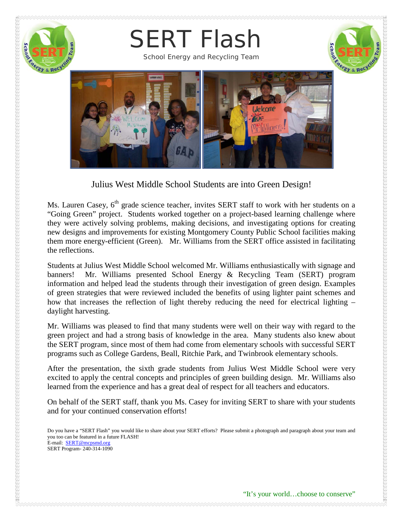

Julius West Middle School Students are into Green Design!

Ms. Lauren Casey, 6<sup>th</sup> grade science teacher, invites SERT staff to work with her students on a "Going Green" project. Students worked together on a project-based learning challenge where they were actively solving problems, making decisions, and investigating options for creating new designs and improvements for existing Montgomery County Public School facilities making them more energy-efficient (Green). Mr. Williams from the SERT office assisted in facilitating the reflections.

Students at Julius West Middle School welcomed Mr. Williams enthusiastically with signage and banners! Mr. Williams presented School Energy & Recycling Team (SERT) program information and helped lead the students through their investigation of green design. Examples of green strategies that were reviewed included the benefits of using lighter paint schemes and how that increases the reflection of light thereby reducing the need for electrical lighting – daylight harvesting.

Mr. Williams was pleased to find that many students were well on their way with regard to the green project and had a strong basis of knowledge in the area. Many students also knew about the SERT program, since most of them had come from elementary schools with successful SERT programs such as College Gardens, Beall, Ritchie Park, and Twinbrook elementary schools.

After the presentation, the sixth grade students from Julius West Middle School were very excited to apply the central concepts and principles of green building design. Mr. Williams also learned from the experience and has a great deal of respect for all teachers and educators.

On behalf of the SERT staff, thank you Ms. Casey for inviting SERT to share with your students and for your continued conservation efforts!

Do you have a "SERT Flash" you would like to share about your SERT efforts? Please submit a photograph and paragraph about your team and you too can be featured in a future FLASH! E-mail: **SERT[@mcpsmd.org](mailto:Barbara_M_Ruppel@mcpsmd.org)** SERT Program- 240-314-1090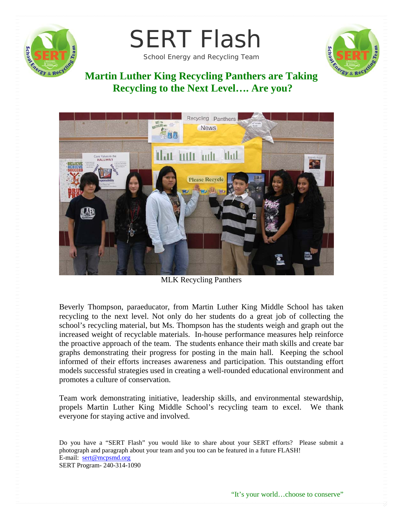

SERT Flash

School Energy and Recycling Team



### **Martin Luther King Recycling Panthers are Taking Recycling to the Next Level…. Are you?**



MLK Recycling Panthers

Beverly Thompson, paraeducator, from Martin Luther King Middle School has taken recycling to the next level. Not only do her students do a great job of collecting the school's recycling material, but Ms. Thompson has the students weigh and graph out the increased weight of recyclable materials. In-house performance measures help reinforce the proactive approach of the team. The students enhance their math skills and create bar graphs demonstrating their progress for posting in the main hall. Keeping the school informed of their efforts increases awareness and participation. This outstanding effort models successful strategies used in creating a well-rounded educational environment and promotes a culture of conservation.

Team work demonstrating initiative, leadership skills, and environmental stewardship, propels Martin Luther King Middle School's recycling team to excel. We thank everyone for staying active and involved.

Do you have a "SERT Flash" you would like to share about your SERT efforts? Please submit a photograph and paragraph about your team and you too can be featured in a future FLASH! E-mail: sert@mcpsmd.org SERT Program- 240-314-1090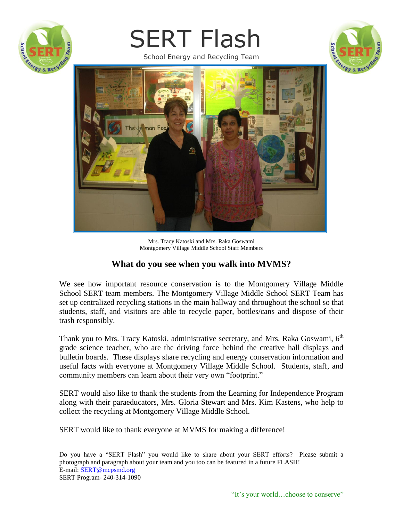

# SERT Flash

School Energy and Recycling Team





Mrs. Tracy Katoski and Mrs. Raka Goswami Montgomery Village Middle School Staff Members

#### **What do you see when you walk into MVMS?**

We see how important resource conservation is to the Montgomery Village Middle School SERT team members. The Montgomery Village Middle School SERT Team has set up centralized recycling stations in the main hallway and throughout the school so that students, staff, and visitors are able to recycle paper, bottles/cans and dispose of their trash responsibly.

Thank you to Mrs. Tracy Katoski, administrative secretary, and Mrs. Raka Goswami,  $6<sup>th</sup>$ grade science teacher, who are the driving force behind the creative hall displays and bulletin boards. These displays share recycling and energy conservation information and useful facts with everyone at Montgomery Village Middle School. Students, staff, and community members can learn about their very own "footprint."

SERT would also like to thank the students from the Learning for Independence Program along with their paraeducators, Mrs. Gloria Stewart and Mrs. Kim Kastens, who help to collect the recycling at Montgomery Village Middle School.

SERT would like to thank everyone at MVMS for making a difference!

Do you have a "SERT Flash" you would like to share about your SERT efforts? Please submit a photograph and paragraph about your team and you too can be featured in a future FLASH! E-mail: SERT[@mcpsmd.org](mailto:Barbara_M_Ruppel@mcpsmd.org) SERT Program- 240-314-1090